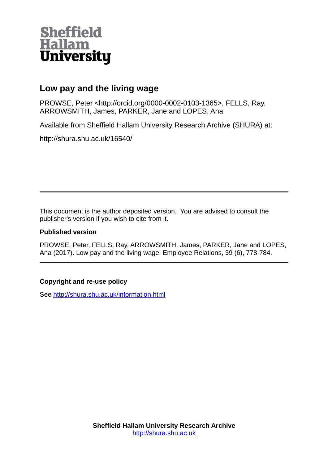

# **Low pay and the living wage**

PROWSE, Peter <http://orcid.org/0000-0002-0103-1365>, FELLS, Ray, ARROWSMITH, James, PARKER, Jane and LOPES, Ana

Available from Sheffield Hallam University Research Archive (SHURA) at:

http://shura.shu.ac.uk/16540/

This document is the author deposited version. You are advised to consult the publisher's version if you wish to cite from it.

### **Published version**

PROWSE, Peter, FELLS, Ray, ARROWSMITH, James, PARKER, Jane and LOPES, Ana (2017). Low pay and the living wage. Employee Relations, 39 (6), 778-784.

## **Copyright and re-use policy**

See<http://shura.shu.ac.uk/information.html>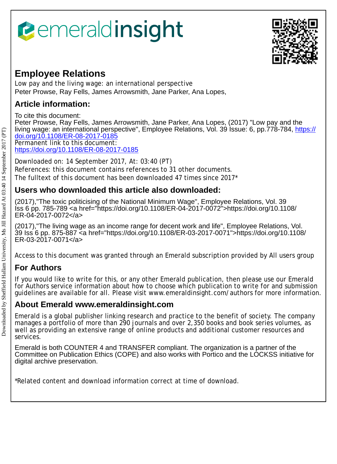



# **Employee Relations**

Low pay and the living wage: an international perspective Peter Prowse, Ray Fells, James Arrowsmith, Jane Parker, Ana Lopes,

## **Article information:**

To cite this document:

Peter Prowse, Ray Fells, James Arrowsmith, Jane Parker, Ana Lopes, (2017) "Low pay and the living wage: an international perspective", Employee Relations, Vol. 39 Issue: 6, pp.778-784, [https://](https://doi.org/10.1108/ER-08-2017-0185) [doi.org/10.1108/ER-08-2017-0185](https://doi.org/10.1108/ER-08-2017-0185) Permanent link to this document: <https://doi.org/10.1108/ER-08-2017-0185>

Downloaded on: 14 September 2017, At: 03:40 (PT) References: this document contains references to 31 other documents. The fulltext of this document has been downloaded 47 times since 2017\*

## **Users who downloaded this article also downloaded:**

(2017),"The toxic politicising of the National Minimum Wage", Employee Relations, Vol. 39 Iss 6 pp. 785-789 <a href="https://doi.org/10.1108/ER-04-2017-0072">https://doi.org/10.1108/ ER-04-2017-0072</a>

(2017),"The living wage as an income range for decent work and life", Employee Relations, Vol. 39 Iss 6 pp. 875-887 <a href="https://doi.org/10.1108/ER-03-2017-0071">https://doi.org/10.1108/ ER-03-2017-0071</a>

Access to this document was granted through an Emerald subscription provided by All users group

## **For Authors**

If you would like to write for this, or any other Emerald publication, then please use our Emerald for Authors service information about how to choose which publication to write for and submission guidelines are available for all. Please visit www.emeraldinsight.com/authors for more information.

## **About Emerald www.emeraldinsight.com**

Emerald is a global publisher linking research and practice to the benefit of society. The company manages a portfolio of more than 290 journals and over 2,350 books and book series volumes, as well as providing an extensive range of online products and additional customer resources and services.

Emerald is both COUNTER 4 and TRANSFER compliant. The organization is a partner of the Committee on Publication Ethics (COPE) and also works with Portico and the LOCKSS initiative for digital archive preservation.

\*Related content and download information correct at time of download.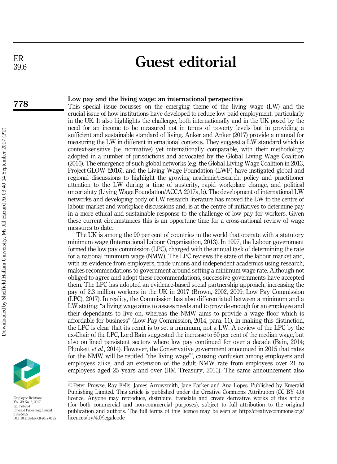# Guest editorial

### Low pay and the living wage: an international perspective

This special issue focusses on the emerging theme of the living wage (LW) and the crucial issue of how institutions have developed to reduce low paid employment, particularly in the UK. It also highlights the challenge, both internationally and in the UK posed by the need for an income to be measured not in terms of poverty levels but in providing a sufficient and sustainable standard of living. Anker and Anker (2017) provide a manual for measuring the LW in different international contexts. They suggest a LW standard which is context-sensitive (i.e. normative) yet internationally comparable, with their methodology adopted in a number of jurisdictions and advocated by the Global Living Wage Coalition (2016). The emergence of such global networks (e.g. the Global Living Wage Coalition in 2013, Project-GLOW (2016), and the Living Wage Foundation (LWF) have instigated global and regional discussions to highlight the growing academic/research, policy and practitioner attention to the LW during a time of austerity, rapid workplace change, and political uncertainty (Living Wage Foundation/ACCA 2017a, b). The development of international LW networks and developing body of LW research literature has moved the LW to the centre of labour market and workplace discussions and, is at the centre of initiatives to determine pay in a more ethical and sustainable response to the challenge of low pay for workers. Given these current circumstances this is an opportune time for a cross-national review of wage measures to date.

The UK is among the 90 per cent of countries in the world that operate with a statutory minimum wage (International Labour Organisation, 2013). In 1997, the Labour government formed the low pay commission (LPC), charged with the annual task of determining the rate for a national minimum wage (NMW). The LPC reviews the state of the labour market and, with its evidence from employers, trade unions and independent academics using research, makes recommendations to government around setting a minimum wage rate. Although not obliged to agree and adopt these recommendations, successive governments have accepted them. The LPC has adopted an evidence-based social partnership approach, increasing the pay of 2.3 million workers in the UK in 2017 (Brown, 2002, 2009; Low Pay Commission (LPC), 2017). In reality, the Commission has also differentiated between a minimum and a LW stating: "a living wage aims to assess needs and to provide enough for an employee and their dependants to live on, whereas the NMW aims to provide a wage floor which is affordable for business" (Low Pay Commission, 2014, para. 11). In making this distinction, the LPC is clear that its remit is to set a minimum, not a LW. A review of the LPC by the ex-Chair of the LPC, Lord Bain suggested the increase to 60 per cent of the median wage, but also outlined persistent sectors where low pay continued for over a decade (Bain, 2014; Plunkett et al., 2014). However, the Conservative government announced in 2015 that rates for the NMW will be retitled "the living wage"', causing confusion among employers and employees alike, and an extension of the adult NMW rate from employees over 21 to employees aged 25 years and over (HM Treasury, 2015). The same announcement also



Employee Relations Vol. 39 No. 6, 2017 pp. 778-784 Emerald Publishing Limited 0142-5455 DOI 10.1108/ER-08-2017-0185

778

<sup>©</sup> Peter Prowse, Ray Fells, James Arrowsmith, Jane Parker and Ana Lopes. Published by Emerald Publishing Limited. This article is published under the Creative Commons Attribution (CC BY 4.0) licence. Anyone may reproduce, distribute, translate and create derivative works of this article ( for both commercial and non-commercial purposes), subject to full attribution to the original publication and authors. The full terms of this licence may be seen at [http://creativecommons.org/](http://creativecommons.org/licences/by/4.0/legalcode) [licences/by/4.0/legalcode](http://creativecommons.org/licences/by/4.0/legalcode)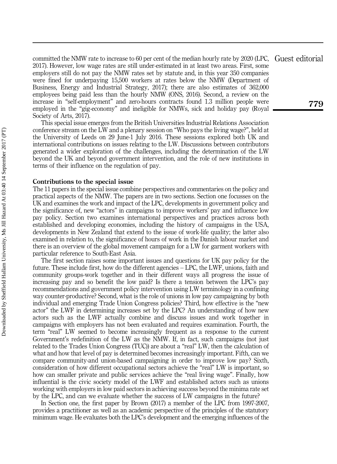committed the NMW rate to increase to 60 per cent of the median hourly rate by 2020 (LPC, 2017). However, low wage rates are still under-estimated in at least two areas. First, some employers still do not pay the NMW rates set by statute and, in this year 350 companies were fined for underpaying 15,500 workers at rates below the NMW (Department of Business, Energy and Industrial Strategy, 2017); there are also estimates of 362,000 employees being paid less than the hourly NMW (ONS, 2016). Second, a review on the increase in "self-employment" and zero-hours contracts found 1.3 million people were employed in the "gig-economy" and ineligible for NMWs, sick and holiday pay (Royal Society of Arts, 2017).

This special issue emerges from the British Universities Industrial Relations Association conference stream on the LW and a plenary session on "Who pays the living wage?", held at the University of Leeds on 29 June-1 July 2016. These sessions explored both UK and international contributions on issues relating to the LW. Discussions between contributors generated a wider exploration of the challenges, including the determination of the LW beyond the UK and beyond government intervention, and the role of new institutions in terms of their influence on the regulation of pay.

### Contributions to the special issue

The 11 papers in the special issue combine perspectives and commentaries on the policy and practical aspects of the NMW. The papers are in two sections. Section one focusses on the UK and examines the work and impact of the LPC, developments in government policy and the significance of, new "actors" in campaigns to improve workers' pay and influence low pay policy. Section two examines international perspectives and practices across both established and developing economies, including the history of campaigns in the USA, developments in New Zealand that extend to the issue of work-life quality; the latter also examined in relation to, the significance of hours of work in the Danish labour market and there is an overview of the global movement campaign for a LW for garment workers with particular reference to South-East Asia.

The first section raises some important issues and questions for UK pay policy for the future. These include first, how do the different agencies – LPC, the LWF, unions, faith and community groups-work together and in their different ways all progress the issue of increasing pay and so benefit the low paid? Is there a tension between the LPC's pay recommendations and government policy intervention using LW terminology in a confining way counter-productive? Second, what is the role of unions in low pay campaigning by both individual and emerging Trade Union Congress policies? Third, how effective is the "new actor" the LWF in determining increases set by the LPC? An understanding of how new actors such as the LWF actually combine and discuss issues and work together in campaigns with employers has not been evaluated and requires examination. Fourth, the term "real" LW seemed to become increasingly frequent as a response to the current Government's redefinition of the LW as the NMW. If, in fact, such campaigns (not just related to the Trades Union Congress (TUC)) are about a "real" LW, then the calculation of what and how that level of pay is determined becomes increasingly important. Fifth, can we compare community-and union-based campaigning in order to improve low pay? Sixth, consideration of how different occupational sectors achieve the "real" LW is important, so how can smaller private and public services achieve the "real living wage". Finally, how influential is the civic society model of the LWF and established actors such as unions working with employers in low paid sectors in achieving success beyond the minima rate set by the LPC, and can we evaluate whether the success of LW campaigns in the future?

In Section one, the first paper by Brown (2017) a member of the LPC from 1997-2007, provides a practitioner as well as an academic perspective of the principles of the statutory minimum wage. He evaluates both the LPC's development and the emerging influences of the

Guest editorial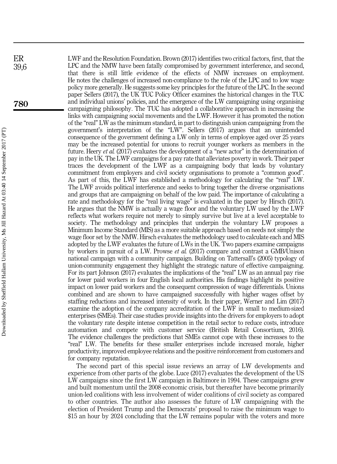LWF and the Resolution Foundation. Brown (2017) identifies two critical factors, first, that the LPC and the NMW have been fatally compromised by government interference, and second, that there is still little evidence of the effects of NMW increases on employment. He notes the challenges of increased non-compliance to the role of the LPC and to low wage policy more generally. He suggests some key principles for the future of the LPC. In the second paper Sellers (2017), the UK TUC Policy Officer examines the historical changes in the TUC and individual unions' policies, and the emergence of the LW campaigning using organising campaigning philosophy. The TUC has adopted a collaborative approach in increasing the links with campaigning social movements and the LWF. However it has promoted the notion of the "real" LW as the minimum standard, in part to distinguish union campaigning from the government's interpretation of the "LW". Sellers (2017) argues that an unintended consequence of the government defining a LW only in terms of employee aged over 25 years may be the increased potential for unions to recruit younger workers as members in the future. Heery *et al.* (2017) evaluates the development of a "new actor" in the determination of pay in the UK. The LWF campaigns for a pay rate that alleviates poverty in work. Their paper traces the development of the LWF as a campaigning body that leads by voluntary commitment from employers and civil society organisations to promote a "common good". As part of this, the LWF has established a methodology for calculating the "real" LW. The LWF avoids political interference and seeks to bring together the diverse organisations and groups that are campaigning on behalf of the low paid. The importance of calculating a rate and methodology for the "real living wage" is evaluated in the paper by Hirsch (2017). He argues that the NMW is actually a wage floor and the voluntary LW used by the LWF reflects what workers require not merely to simply survive but live at a level acceptable to society. The methodology and principles that underpin the voluntary LW proposes a Minimum Income Standard (MIS) as a more suitable approach based on needs not simply the wage floor set by the NMW. Hirsch evaluates the methodology used to calculate each and MIS adopted by the LWF evaluates the future of LWs in the UK. Two papers examine campaigns by workers in pursuit of a LW. Prowse et al. (2017) compare and contrast a GMB/Unison national campaign with a community campaign. Building on Tattersall's (2005) typology of union-community engagement they highlight the strategic nature of effective campaigning. For its part Johnson (2017) evaluates the implications of the "real" LW as an annual pay rise for lower paid workers in four English local authorities. His findings highlight its positive impact on lower paid workers and the consequent compression of wage differentials. Unions combined and are shown to have campaigned successfully with higher wages offset by staffing reductions and increased intensity of work. In their paper, Werner and Lim (2017) examine the adoption of the company accreditation of the LWF in small to medium-sized enterprises (SMEs). Their case studies provide insights into the drivers for employers to adopt the voluntary rate despite intense competition in the retail sector to reduce costs, introduce automation and compete with customer service (British Retail Consortium, 2016). The evidence challenges the predictions that SMEs cannot cope with these increases to the "real" LW. The benefits for these smaller enterprises include increased morale, higher productivity, improved employee relations and the positive reinforcement from customers and for company reputation.

The second part of this special issue reviews an array of LW developments and experience from other parts of the globe. Luce (2017) evaluates the development of the US LW campaigns since the first LW campaign in Baltimore in 1994. These campaigns grew and built momentum until the 2008 economic crisis, but thereafter have become primarily union-led coalitions with less involvement of wider coalitions of civil society as compared to other countries. The author also assesses the future of LW campaigning with the election of President Trump and the Democrats' proposal to raise the minimum wage to \$15 an hour by 2024 concluding that the LW remains popular with the voters and more

ER 39,6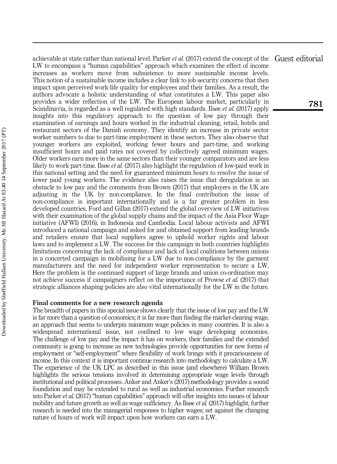achievable at state rather than national level. Parker *et al.* (2017) extend the concept of the LW to encompass a "human capabilities" approach which examines the effect of income increases as workers move from subsistence to more sustainable income levels. This notion of a sustainable income includes a clear link to job security concerns that then impact upon perceived work-life quality for employees and their families. As a result, the authors advocate a holistic understanding of what constitutes a LW. This paper also provides a wider reflection of the LW. The European labour market, particularly in Scandinavia, is regarded as a well regulated with high standards. Ilsøe *et al.* (2017) apply insights into this regulatory approach to the question of low pay through their examination of earnings and hours worked in the industrial cleaning, retail, hotels and restaurant sectors of the Danish economy. They identify an increase in private sector worker numbers to due to part-time employment in these sectors. They also observe that younger workers are exploited, working fewer hours and part-time, and working insufficient hours and paid rates not covered by collectively agreed minimum wages. Older workers earn more in the same sectors than their younger comparators and are less likely to work part-time. Ilsøe et al. (2017) also highlight the regulation of low-paid work in this national setting and the need for guaranteed minimum hours to resolve the issue of lower paid young workers. The evidence also raises the issue that deregulation is an obstacle to low pay and the comments from Brown (2017) that employers in the UK are adjusting in the UK by non-compliance. In the final contribution the issue of non-compliance is important internationally and is a far greater problem in less developed countries. Ford and Gillan (2017) extend the global overview of LW initiatives with their examination of the global supply chains and the impact of the Asia Floor Wage initiative (AFWI) (2016), in Indonesia and Cambodia. Local labour activists and AFWI introduced a national campaign and asked for and obtained support from leading brands and retailers ensure that local suppliers agree to uphold worker rights and labour laws and to implement a LW. The success for this campaign in both countries highlights limitations concerning the lack of compliance and lack of local coalitions between unions in a concerted campaign in mobilising for a LW due to non-compliance by the garment manufacturers and the need for independent worker representation to secure a LW. Here the problem is the continued support of large brands and union co-ordination may not achieve success if campaigners reflect on the importance of Prowse *et al.* (2017) that strategic alliances shaping policies are also vital internationally for the LW in the future.

### Final comments for a new research agenda

The breadth of papers in this special issue shows clearly that the issue of low pay and the LW is far more than a question of economics; it is far more than finding the market-clearing wage, an approach that seems to underpin minimum wage policies in many countries. It is also a widespread international issue, not confined to low wage developing economies. The challenge of low pay and the impact it has on workers, their families and the extended community is going to increase as new technologies provide opportunities for new forms of employment or "self-employment" where flexibility of work brings with it precariousness of income. In this context it is important continue research into methodology to calculate a LW. The experience of the UK LPC as described in this issue (and elsewhere) William Brown highlights the serious tensions involved in determining appropriate wage levels through institutional and political processes. Anker and Anker's (2017) methodology provides a sound foundation and may be extended to rural as well as industrial economies. Further research into Parker et al. (2017) "human capabilities" approach will offer insights into issues of labour mobility and future growth as well as wage sufficiency. As Ilsøe et al. (2017) highlight, further research is needed into the managerial responses to higher wages; set against the changing nature of hours of work will impact upon how workers can earn a LW.

Guest editorial

781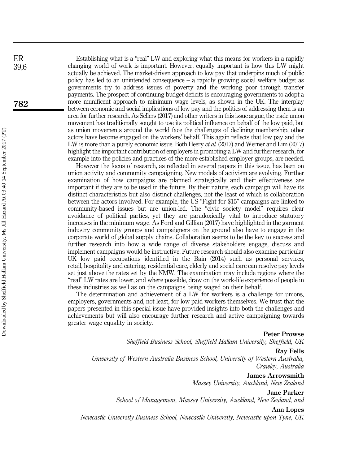Establishing what is a "real" LW and exploring what this means for workers in a rapidly changing world of work is important. However, equally important is how this LW might actually be achieved. The market-driven approach to low pay that underpins much of public policy has led to an unintended consequence – a rapidly growing social welfare budget as governments try to address issues of poverty and the working poor through transfer payments. The prospect of continuing budget deficits is encouraging governments to adopt a more munificent approach to minimum wage levels, as shown in the UK. The interplay between economic and social implications of low pay and the politics of addressing them is an area for further research. As Sellers (2017) and other writers in this issue argue, the trade union movement has traditionally sought to use its political influence on behalf of the low paid, but as union movements around the world face the challenges of declining membership, other actors have become engaged on the workers' behalf. This again reflects that low pay and the LW is more than a purely economic issue. Both Heery *et al.* (2017) and Werner and Lim (2017) highlight the important contribution of employers in promoting a LW and further research, for example into the policies and practices of the more established employer groups, are needed.

However the focus of research, as reflected in several papers in this issue, has been on union activity and community campaigning. New models of activism are evolving. Further examination of how campaigns are planned strategically and their effectiveness are important if they are to be used in the future. By their nature, each campaign will have its distinct characteristics but also distinct challenges, not the least of which is collaboration between the actors involved. For example, the US "Fight for \$15" campaigns are linked to community-based issues but are union-led. The "civic society model" requires clear avoidance of political parties, yet they are paradoxically vital to introduce statutory increases in the minimum wage. As Ford and Gillian (2017) have highlighted in the garment industry community groups and campaigners on the ground also have to engage in the corporate world of global supply chains. Collaboration seems to be the key to success and further research into how a wide range of diverse stakeholders engage, discuss and implement campaigns would be instructive. Future research should also examine particular UK low paid occupations identified in the Bain (2014) such as personal services, retail, hospitality and catering, residential care, elderly and social care can resolve pay levels set just above the rates set by the NMW. The examination may include regions where the "real" LW rates are lower, and where possible, draw on the work-life experience of people in these industries as well as on the campaigns being waged on their behalf.

The determination and achievement of a LW for workers is a challenge for unions, employers, governments and, not least, for low paid workers themselves. We trust that the papers presented in this special issue have provided insights into both the challenges and achievements but will also encourage further research and active campaigning towards greater wage equality in society.

### Peter Prowse

Sheffield Business School, Sheffield Hallam University, Sheffield, UK

Ray Fells

University of Western Australia Business School, University of Western Australia, Crawley, Australia

James Arrowsmith

Massey University, Auckland, New Zealand

Jane Parker

School of Management, Massey University, Auckland, New Zealand, and

### Ana Lopes

Newcastle University Business School, Newcastle University, Newcastle upon Tyne, UK

782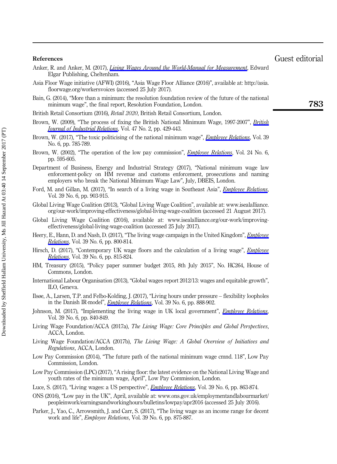### References

- Anker, R. and Anker, M. (2017), [Living Wages Around the World-Manual for Measurement](http://www.emeraldinsight.com/action/showLinks?doi=10.1108%2FER-08-2017-0185&crossref=10.4337%2F9781786431462&citationId=p_1), Edward Elgar Publishing, Cheltenham.
- Asia Floor Wage initiative (AFWI) (2016), "Asia Wage Floor Alliance (2016)", available at: [http://asia.](http://asia.floorwage.org/workersvoices) [floorwage.org/workersvoices](http://asia.floorwage.org/workersvoices) (accessed 25 July 2017).
- Bain, G. (2014), "More than a minimum: the resolution foundation review of the future of the national minimum wage", the final report, Resolution Foundation, London.
- British Retail Consortium (2016), Retail 2020, British Retail Consortium, London.
- Brown, W. (2009), "The process of fixing the [British](http://www.emeraldinsight.com/action/showLinks?doi=10.1108%2FER-08-2017-0185&crossref=10.1111%2Fj.1467-8543.2009.00722.x&isi=000266014900012&citationId=p_5) National Minimum Wage, 1997-2007", *British* **[Journal of Industrial Relations](http://www.emeraldinsight.com/action/showLinks?doi=10.1108%2FER-08-2017-0185&crossref=10.1111%2Fj.1467-8543.2009.00722.x&isi=000266014900012&citationId=p_5), Vol. 47 No. 2, pp. 429-443.**
- Brown, W. (2017), "The toxic politicising of the national minimum wage", *[Employee Relations](http://www.emeraldinsight.com/action/showLinks?doi=10.1108%2FER-08-2017-0185&system-d=10.1108%2FER-04-2017-0072&citationId=p_6)*, Vol. 39 No. 6, pp. 785-789.
- Brown, W. (2002), "The operation of the low pay commission", *[Employee Relations](http://www.emeraldinsight.com/action/showLinks?doi=10.1108%2FER-08-2017-0185&system=10.1108%2F01425450210453013&citationId=p_7)*, Vol. 24 No. 6, pp. 595-605.
- Department of Business, Energy and Industrial Strategy (2017), "National minimum wage law enforcement-policy on HM revenue and customs enforcement, prosecutions and naming employers who break the National Minimum Wage Law", July, DBEIS, London.
- Ford, M. and Gillan, M. (2017), "In search of a living wage in Southeast Asia", *[Employee Relations](http://www.emeraldinsight.com/action/showLinks?doi=10.1108%2FER-08-2017-0185&system-d=10.1108%2FER-02-2017-0046&citationId=p_9)*, Vol. 39 No. 6, pp. 903-915.
- Global Living Wage Coalition (2013), "Global Living Wage Coalition", available at: [www.isealalliance.](www.isealalliance.org/our-work/improving-effectiveness/global-living-wage-coalition) [org/our-work/improving-effectiveness/global-living-wage-coalition](www.isealalliance.org/our-work/improving-effectiveness/global-living-wage-coalition) (accessed 21 August 2017).
- Global Living Wage Coalition (2016), available at: [www.isealalliance.org/our-work/improving](www.isealalliance.org/our-work/improving-effectiveness/global-living-wage-coalition)[effectiveness/global-living-wage-coalition](www.isealalliance.org/our-work/improving-effectiveness/global-living-wage-coalition) (accessed 25 July 2017).
- Heery, E., Hann, D. and Nash, D. (2017), "The living wage campaign in the United Kingdom", *[Employee](http://www.emeraldinsight.com/action/showLinks?doi=10.1108%2FER-08-2017-0185&system-d=10.1108%2FER-04-2017-0083&citationId=p_12)* [Relations](http://www.emeraldinsight.com/action/showLinks?doi=10.1108%2FER-08-2017-0185&system-d=10.1108%2FER-04-2017-0083&citationId=p_12), Vol. 39 No. 6, pp. 800-814.
- Hirsch, D. (2017), "Contemporary UK wage floors and the calculation of a living wage", *[Employee](http://www.emeraldinsight.com/action/showLinks?doi=10.1108%2FER-08-2017-0185&system-d=10.1108%2FER-03-2017-0048&citationId=p_13)* [Relations](http://www.emeraldinsight.com/action/showLinks?doi=10.1108%2FER-08-2017-0185&system-d=10.1108%2FER-03-2017-0048&citationId=p_13), Vol. 39 No. 6, pp. 815-824.
- HM, Treasury (2015), "Policy paper summer budget 2015, 8th July 2015", No. HC264, House of Commons, London.
- International Labour Organisation (2013), "Global wages report 2012/13: wages and equitable growth", ILO, Geneva.
- Ilsøe, A., Larsen, T.P. and Felbo-Kolding, J. (2017), "Living hours under pressure flexibility loopholes in the Danish IR-model", *[Employee Relations](http://www.emeraldinsight.com/action/showLinks?doi=10.1108%2FER-08-2017-0185&system-d=10.1108%2FER-03-2017-0049&citationId=p_16)*, Vol. 39 No. 6, pp. 888-902.
- Johnson, M. (2017), "Implementing the living wage in UK local government", *[Employee Relations](http://www.emeraldinsight.com/action/showLinks?doi=10.1108%2FER-08-2017-0185&system-d=10.1108%2FER-02-2017-0039&citationId=p_17)*, Vol. 39 No. 6, pp. 840-849.
- Living Wage Foundation/ACCA (2017a), The Living Wage: Core Principles and Global Perspectives, ACCA, London.
- Living Wage Foundation/ACCA (2017b), The Living Wage: A Global Overview of Initiatives and Regulations, ACCA, London.
- Low Pay Commission (2014), "The future path of the national minimum wage cmnd. 118", Low Pay Commission, London.
- Low Pay Commission (LPC) (2017), "A rising floor: the latest evidence on the National Living Wage and youth rates of the minimum wage, April", Low Pay Commission, London.
- Luce, S. (2017), "Living wages: a US perspective", *[Employee Relations](http://www.emeraldinsight.com/action/showLinks?doi=10.1108%2FER-08-2017-0185&system-d=10.1108%2FER-07-2017-0153&citationId=p_22)*, Vol. 39 No. 6, pp. 863-874.
- ONS (2016), "Low pay in the UK", April, available at: [www.ons.gov.uk/employmentandlabourmarket/](www.ons.gov.uk/employmentandlabourmarket/peopleinwork/earningsandworkinghours/bulletins/lowpay/apr2016) [peopleinwork/earningsandworkinghours/bulletins/lowpay/apr2016](www.ons.gov.uk/employmentandlabourmarket/peopleinwork/earningsandworkinghours/bulletins/lowpay/apr2016) (accessed 25 July 2016).
- Parker, J., Yao, C., Arrowsmith, J. and Carr, S. (2017), "The living wage as an income range for decent work and life", Employee Relations, Vol. 39 No. 6, pp. 875-887.

Downloaded by Sheffield Hallam University, Ms Jill Hazard At 03:40 14 September 2017 (PT) Downloaded by Sheffield Hallam University, Ms Jill Hazard At 03:40 14 September 2017 (PT)